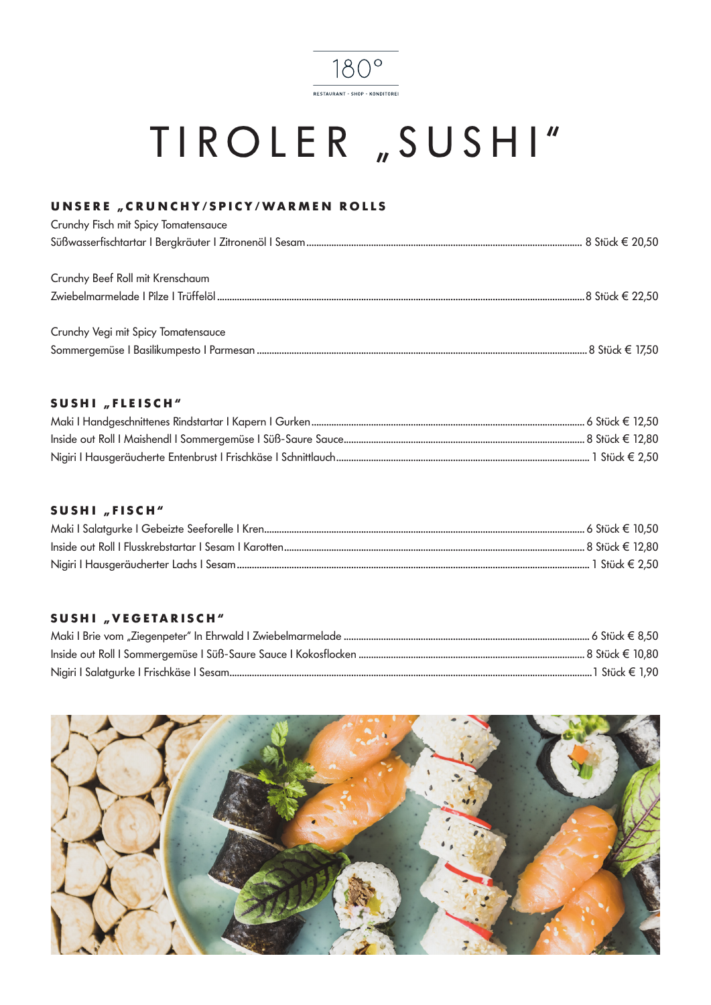

## TIROLER "SUSHI"

### UNSERE "CRUNCHY/SPICY/WARMEN ROLLS

| Crunchy Fisch mit Spicy Tomatensauce |  |
|--------------------------------------|--|
|                                      |  |
| Crunchy Beef Roll mit Krenschaum     |  |
|                                      |  |
| Crunchy Vegi mit Spicy Tomatensauce  |  |
|                                      |  |

### SUSHI "FLEISCH"

### SUSHI "FISCH"

### SUSHI "VEGETARISCH"